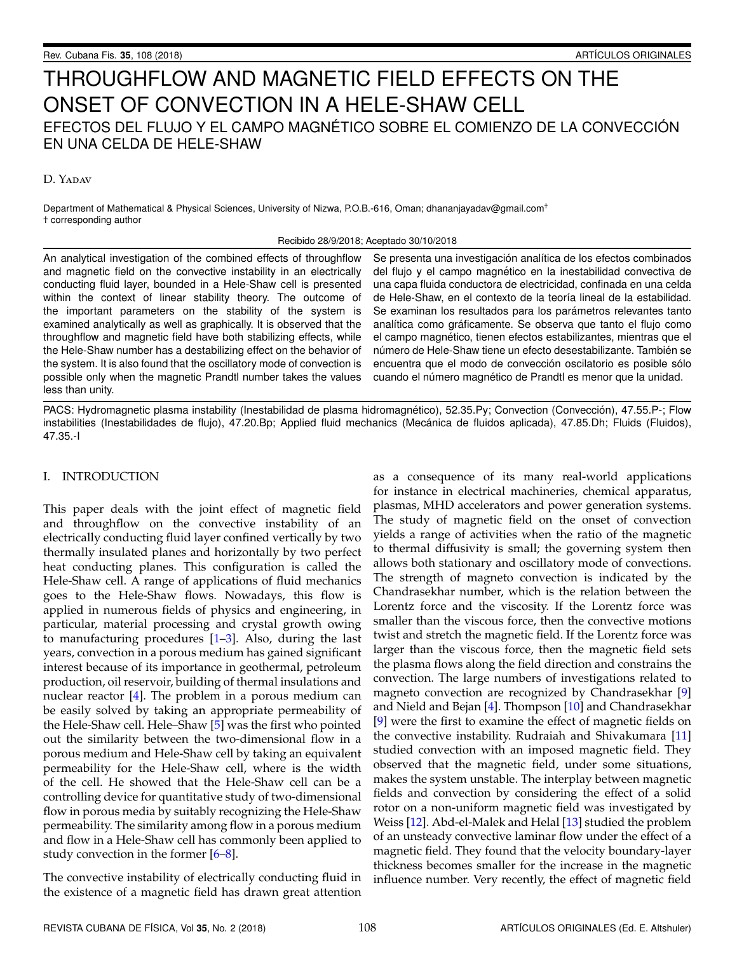# THROUGHFLOW AND MAGNETIC FIELD EFFECTS ON THE ONSET OF CONVECTION IN A HELE-SHAW CELL EFECTOS DEL FLUJO Y EL CAMPO MAGNÉTICO SOBRE EL COMIENZO DE LA CONVECCIÓN EN UNA CELDA DE HELE-SHAW

# D. YADAV

Department of Mathematical & Physical Sciences, University of Nizwa, P.O.B.-616, Oman; dhananjayadav@gmail.com† † corresponding author

## Recibido 28/9/2018; Aceptado 30/10/2018

An analytical investigation of the combined effects of throughflow and magnetic field on the convective instability in an electrically conducting fluid layer, bounded in a Hele-Shaw cell is presented within the context of linear stability theory. The outcome of the important parameters on the stability of the system is examined analytically as well as graphically. It is observed that the throughflow and magnetic field have both stabilizing effects, while the Hele-Shaw number has a destabilizing effect on the behavior of the system. It is also found that the oscillatory mode of convection is possible only when the magnetic Prandtl number takes the values less than unity.

Se presenta una investigación analítica de los efectos combinados del flujo y el campo magnético en la inestabilidad convectiva de una capa fluida conductora de electricidad, confinada en una celda de Hele-Shaw, en el contexto de la teoría lineal de la estabilidad. Se examinan los resultados para los parámetros relevantes tanto analítica como gráficamente. Se observa que tanto el flujo como el campo magnético, tienen efectos estabilizantes, mientras que el número de Hele-Shaw tiene un efecto desestabilizante. También se encuentra que el modo de convección oscilatorio es posible sólo cuando el número magnético de Prandtl es menor que la unidad.

PACS: Hydromagnetic plasma instability (Inestabilidad de plasma hidromagnético), 52.35.Py; Convection (Convección), 47.55.P-; Flow instabilities (Inestabilidades de flujo), 47.20.Bp; Applied fluid mechanics (Mecánica de fluidos aplicada), 47.85.Dh; Fluids (Fluidos), 47.35.-I

# I. INTRODUCTION

This paper deals with the joint effect of magnetic field and throughflow on the convective instability of an electrically conducting fluid layer confined vertically by two thermally insulated planes and horizontally by two perfect heat conducting planes. This configuration is called the Hele-Shaw cell. A range of applications of fluid mechanics goes to the Hele-Shaw flows. Nowadays, this flow is applied in numerous fields of physics and engineering, in particular, material processing and crystal growth owing to manufacturing procedures [\[1–](#page-5-0)[3\]](#page-5-1). Also, during the last years, convection in a porous medium has gained significant interest because of its importance in geothermal, petroleum production, oil reservoir, building of thermal insulations and nuclear reactor [\[4\]](#page-5-2). The problem in a porous medium can be easily solved by taking an appropriate permeability of the Hele-Shaw cell. Hele–Shaw [\[5\]](#page-5-3) was the first who pointed out the similarity between the two-dimensional flow in a porous medium and Hele-Shaw cell by taking an equivalent permeability for the Hele-Shaw cell, where is the width of the cell. He showed that the Hele-Shaw cell can be a controlling device for quantitative study of two-dimensional flow in porous media by suitably recognizing the Hele-Shaw permeability. The similarity among flow in a porous medium and flow in a Hele-Shaw cell has commonly been applied to study convection in the former [\[6](#page-5-4)[–8\]](#page-5-5).

The convective instability of electrically conducting fluid in the existence of a magnetic field has drawn great attention

as a consequence of its many real-world applications for instance in electrical machineries, chemical apparatus, plasmas, MHD accelerators and power generation systems. The study of magnetic field on the onset of convection yields a range of activities when the ratio of the magnetic to thermal diffusivity is small; the governing system then allows both stationary and oscillatory mode of convections. The strength of magneto convection is indicated by the Chandrasekhar number, which is the relation between the Lorentz force and the viscosity. If the Lorentz force was smaller than the viscous force, then the convective motions twist and stretch the magnetic field. If the Lorentz force was larger than the viscous force, then the magnetic field sets the plasma flows along the field direction and constrains the convection. The large numbers of investigations related to magneto convection are recognized by Chandrasekhar [\[9\]](#page-5-6) and Nield and Bejan [\[4\]](#page-5-2). Thompson [\[10\]](#page-5-7) and Chandrasekhar [\[9\]](#page-5-6) were the first to examine the effect of magnetic fields on the convective instability. Rudraiah and Shivakumara [\[11\]](#page-5-8) studied convection with an imposed magnetic field. They observed that the magnetic field, under some situations, makes the system unstable. The interplay between magnetic fields and convection by considering the effect of a solid rotor on a non-uniform magnetic field was investigated by Weiss [\[12\]](#page-5-9). Abd-el-Malek and Helal [\[13\]](#page-5-10) studied the problem of an unsteady convective laminar flow under the effect of a magnetic field. They found that the velocity boundary-layer thickness becomes smaller for the increase in the magnetic influence number. Very recently, the effect of magnetic field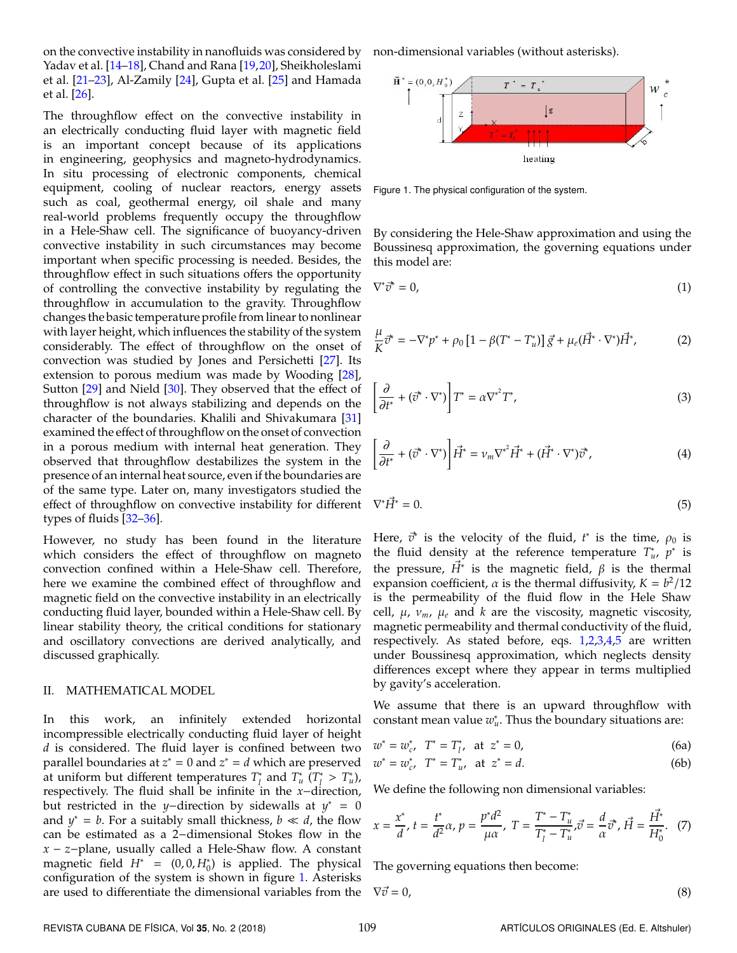on the convective instability in nanofluids was considered by Yadav et al. [\[14](#page-5-11)[–18\]](#page-5-12), Chand and Rana [\[19,](#page-5-13)[20\]](#page-5-14), Sheikholeslami et al.  $[21-23]$  $[21-23]$ , Al-Zamily  $[24]$ , Gupta et al.  $[25]$  and Hamada et al. [\[26\]](#page-5-19).

The throughflow effect on the convective instability in an electrically conducting fluid layer with magnetic field is an important concept because of its applications in engineering, geophysics and magneto-hydrodynamics. In situ processing of electronic components, chemical equipment, cooling of nuclear reactors, energy assets such as coal, geothermal energy, oil shale and many real-world problems frequently occupy the throughflow in a Hele-Shaw cell. The significance of buoyancy-driven convective instability in such circumstances may become important when specific processing is needed. Besides, the throughflow effect in such situations offers the opportunity of controlling the convective instability by regulating the throughflow in accumulation to the gravity. Throughflow changes the basic temperature profile from linear to nonlinear with layer height, which influences the stability of the system considerably. The effect of throughflow on the onset of convection was studied by Jones and Persichetti [\[27\]](#page-5-20). Its extension to porous medium was made by Wooding [\[28\]](#page-5-21), Sutton [\[29\]](#page-5-22) and Nield [\[30\]](#page-5-23). They observed that the effect of throughflow is not always stabilizing and depends on the character of the boundaries. Khalili and Shivakumara [\[31\]](#page-5-24) examined the effect of throughflow on the onset of convection in a porous medium with internal heat generation. They observed that throughflow destabilizes the system in the presence of an internal heat source, even if the boundaries are of the same type. Later on, many investigators studied the effect of throughflow on convective instability for different types of fluids [\[32–](#page-5-25)[36\]](#page-5-26).

However, no study has been found in the literature which considers the effect of throughflow on magneto convection confined within a Hele-Shaw cell. Therefore, here we examine the combined effect of throughflow and magnetic field on the convective instability in an electrically conducting fluid layer, bounded within a Hele-Shaw cell. By linear stability theory, the critical conditions for stationary and oscillatory convections are derived analytically, and discussed graphically.

## II. MATHEMATICAL MODEL

In this work, an infinitely extended horizontal incompressible electrically conducting fluid layer of height *d* is considered. The fluid layer is confined between two parallel boundaries at  $z^* = 0$  and  $z^* = d$  which are preserved at uniform but different temperatures *T* ∗ *l* and *T* ∗ *u* (*T* ∗ <sup>\*</sup> > *T*<sub>u</sub><sup>\*</sup>), respectively. The fluid shall be infinite in the *x*−direction, but restricted in the *y*−direction by sidewalls at *y* <sup>∗</sup> = 0 and  $y^* = b$ . For a suitably small thickness,  $b \ll d$ , the flow can be estimated as a 2−dimensional Stokes flow in the *x* − *z*−plane, usually called a Hele-Shaw flow. A constant magnetic field  $H^* = (0, 0, H_0^*)$  is applied. The physical configuration of the system is shown in figure [1.](#page-1-0) Asterisks are used to differentiate the dimensional variables from the

non-dimensional variables (without asterisks).

<span id="page-1-0"></span>

Figure 1. The physical configuration of the system.

<span id="page-1-1"></span>By considering the Hele-Shaw approximation and using the Boussinesq approximation, the governing equations under this model are:

<span id="page-1-2"></span>
$$
\nabla^* \vec{\sigma}^* = 0,\tag{1}
$$

$$
\frac{\mu}{K}\vec{\sigma}^* = -\nabla^* p^* + \rho_0 \left[1 - \beta (T^* - T_u^*)\right] \vec{g} + \mu_e (\vec{H}^* \cdot \nabla^*) \vec{H}^*,\tag{2}
$$

<span id="page-1-3"></span>
$$
\left[\frac{\partial}{\partial t^*} + (\vec{v}^* \cdot \nabla^*)\right] T^* = \alpha \nabla^{*^2} T^*,\tag{3}
$$

<span id="page-1-4"></span>
$$
\left[\frac{\partial}{\partial t^*} + (\vec{v}^* \cdot \nabla^*)\right] \vec{H}^* = \nu_m \nabla^{*2} \vec{H}^* + (\vec{H}^* \cdot \nabla^*) \vec{v}^*,\tag{4}
$$

<span id="page-1-5"></span>
$$
\nabla^* \vec{H}^* = 0. \tag{5}
$$

Here,  $\vec{v}^*$  is the velocity of the fluid,  $t^*$  is the time,  $\rho_0$  is the fluid density at the reference temperature  $T^*_{u}$ ,  $p^*$  is the pressure,  $\vec{H}^*$  is the magnetic field,  $\beta$  is the thermal expansion coefficient,  $\alpha$  is the thermal diffusivity,  $K = b^2/12$ is the permeability of the fluid flow in the Hele Shaw cell,  $\mu$ ,  $\nu_m$ ,  $\mu_e$  and  $k$  are the viscosity, magnetic viscosity, magnetic permeability and thermal conductivity of the fluid, respectively. As stated before, eqs. [1](#page-1-1)[,2](#page-1-2)[,3](#page-1-3)[,4](#page-1-4)[,5](#page-1-5) are written under Boussinesq approximation, which neglects density differences except where they appear in terms multiplied by gavity's acceleration.

We assume that there is an upward throughflow with  $\frac{1}{2}$  constant mean value  $w_u^*$ . Thus the boundary situations are:

$$
w^* = w_{c'}^* \quad T^* = T_{l'}^* \quad \text{at} \quad z^* = 0,
$$
 (6a)

$$
w^* = w_{c'}^* \quad T^* = T_{u'}^* \quad \text{at} \quad z^* = d. \tag{6b}
$$

We define the following non dimensional variables:

$$
x = \frac{x^*}{d}, t = \frac{t^*}{d^2}\alpha, p = \frac{p^*d^2}{\mu\alpha}, T = \frac{T^* - T_u^*}{T_1^* - T_u^*}, \vec{\sigma} = \frac{d}{\alpha}\vec{\sigma}^*, \vec{H} = \frac{\vec{H}^*}{H_0^*}.
$$
 (7)

<span id="page-1-6"></span>The governing equations then become:

$$
\nabla \vec{v} = 0,\tag{8}
$$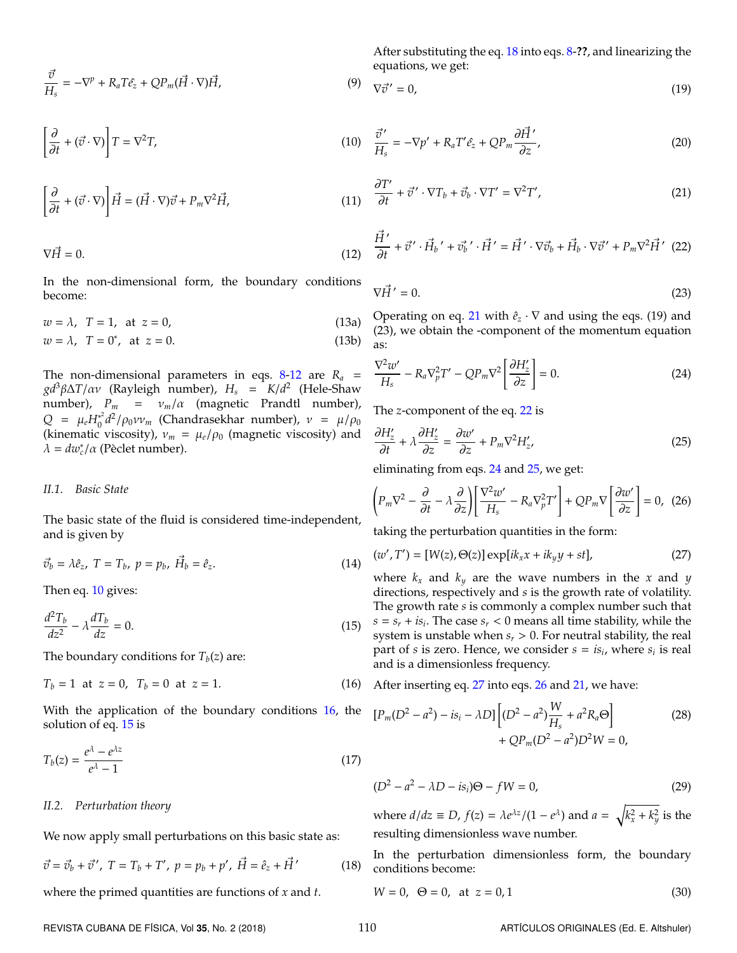$$
\frac{\vec{v}}{H_s} = -\nabla^p + R_a T \hat{e}_z + Q P_m(\vec{H} \cdot \nabla) \vec{H},\tag{9}
$$

<span id="page-2-1"></span>
$$
\left[\frac{\partial}{\partial t} + (\vec{v} \cdot \nabla)\right] T = \nabla^2 T,\tag{10}
$$

$$
\left[\frac{\partial}{\partial t} + (\vec{v} \cdot \nabla)\right] \vec{H} = (\vec{H} \cdot \nabla)\vec{v} + P_m \nabla^2 \vec{H},\tag{11}
$$

<span id="page-2-0"></span>
$$
\nabla \vec{H} = 0. \tag{12}
$$

In the non-dimensional form, the boundary conditions become:

$$
w = \lambda, \quad T = 1, \quad \text{at} \quad z = 0,
$$
\n
$$
(13a)
$$

$$
w = \lambda, \quad T = 0^*, \quad \text{at} \quad z = 0. \tag{13b}
$$

The non-dimensional parameters in eqs.  $8-12$  $8-12$  are  $R_a$  = *gd*3β∆*T*/αν (Rayleigh number), *H<sup>s</sup>* = *K*/*d* 2 (Hele-Shaw number), *P<sup>m</sup>* = ν*m*/α (magnetic Prandtl number),  $Q = \mu_e H_0^{*^2}$  $\int_0^2 d^2/\rho_0 \nu v_m$  (Chandrasekhar number),  $\nu = \mu/\rho_0$ (kinematic viscosity),  $v_m = \mu_e/\rho_0$  (magnetic viscosity) and  $\lambda = dw_c^*/\alpha$  (Pèclet number).

# *II.1. Basic State*

The basic state of the fluid is considered time-independent, and is given by

$$
\vec{v}_b = \lambda \hat{e}_z, \ T = T_b, \ p = p_b, \ \vec{H}_b = \hat{e}_z. \tag{14}
$$

<span id="page-2-3"></span>Then eq. [10](#page-2-1) gives:

$$
\frac{d^2T_b}{dz^2} - \lambda \frac{dT_b}{dz} = 0.
$$
\n(15)

The boundary conditions for  $T_b(z)$  are:

$$
T_b = 1 \text{ at } z = 0, \ T_b = 0 \text{ at } z = 1. \tag{16}
$$

With the application of the boundary conditions [16,](#page-2-2) the solution of eq. [15](#page-2-3) is

$$
T_b(z) = \frac{e^{\lambda} - e^{\lambda z}}{e^{\lambda} - 1}
$$
\n(17)

#### *II.2. Perturbation theory*

We now apply small perturbations on this basic state as:

$$
\vec{v} = \vec{v}_b + \vec{v}' , \ T = T_b + T', \ p = p_b + p', \ \vec{H} = \hat{e}_z + \vec{H}' \tag{18}
$$

where the primed quantities are functions of *x* and *t*.

After substituting the eq. [18](#page-2-4) into eqs. [8-](#page-1-6)**??**, and linearizing the equations, we get:

$$
\nabla \vec{v}' = 0,\tag{19}
$$

$$
\frac{\vec{\sigma}'}{H_s} = -\nabla p' + R_a T' \hat{e}_z + Q P_m \frac{\partial \vec{H}'}{\partial z},\tag{20}
$$

<span id="page-2-5"></span>
$$
\frac{\partial T'}{\partial t} + \vec{v}' \cdot \nabla T_b + \vec{v}_b \cdot \nabla T' = \nabla^2 T',\tag{21}
$$

<span id="page-2-6"></span>
$$
\frac{\vec{H}'}{\partial t} + \vec{v}' \cdot \vec{H}_b' + \vec{v}_b' \cdot \vec{H}' = \vec{H}' \cdot \nabla \vec{v}_b + \vec{H}_b \cdot \nabla \vec{v}' + P_m \nabla^2 \vec{H}' \tag{22}
$$

$$
\nabla \vec{H}' = 0. \tag{23}
$$

Operating on eq. [21](#page-2-5) with  $\hat{e}_z \cdot \nabla$  and using the eqs. (19) and (23), we obtain the -component of the momentum equation as:

<span id="page-2-7"></span>
$$
\frac{\nabla^2 w'}{H_s} - R_a \nabla_p^2 T' - Q P_m \nabla^2 \left[ \frac{\partial H'_z}{\partial z} \right] = 0.
$$
 (24)

<span id="page-2-8"></span>The *z*-component of the eq. [22](#page-2-6) is

$$
\frac{\partial H'_z}{\partial t} + \lambda \frac{\partial H'_z}{\partial z} = \frac{\partial w'}{\partial z} + P_m \nabla^2 H'_z,\tag{25}
$$

<span id="page-2-10"></span>eliminating from eqs. [24](#page-2-7) and [25,](#page-2-8) we get:

$$
\left(P_m\nabla^2 - \frac{\partial}{\partial t} - \lambda \frac{\partial}{\partial z}\right) \left[\frac{\nabla^2 w'}{H_s} - R_a \nabla_p^2 T'\right] + Q P_m \nabla \left[\frac{\partial w'}{\partial z}\right] = 0, \tag{26}
$$

<span id="page-2-9"></span>taking the perturbation quantities in the form:

$$
(w', T') = [W(z), \Theta(z)] \exp[i k_x x + i k_y y + st],
$$
\n(27)

where  $k_x$  and  $k_y$  are the wave numbers in the *x* and *y* directions, respectively and *s* is the growth rate of volatility. The growth rate *s* is commonly a complex number such that *s* = *s<sup>r</sup>* + *is<sup>i</sup>* . The case *s<sup>r</sup>* < 0 means all time stability, while the system is unstable when  $s_r > 0$ . For neutral stability, the real part of *s* is zero. Hence, we consider  $s = is_i$ , where  $s_i$  is real and is a dimensionless frequency.

<span id="page-2-2"></span>After inserting eq. [27](#page-2-9) into eqs. [26](#page-2-10) and [21,](#page-2-5) we have:

<span id="page-2-11"></span>
$$
[P_m(D^2 - a^2) - is_i - \lambda D] \left[ (D^2 - a^2) \frac{W}{H_s} + a^2 R_a \Theta \right] + Q P_m(D^2 - a^2) D^2 W = 0,
$$
 (28)

<span id="page-2-13"></span>

$$
(D2 - a2 - \lambda D - isi)\Theta - fW = 0,
$$
\n(29)

<span id="page-2-4"></span>where  $d/dz \equiv D$ ,  $f(z) = \lambda e^{\lambda z} / (1 - e^{\lambda})$  and  $a = \sqrt{k_x^2 + k_y^2}$  is the resulting dimensionless wave number.

<span id="page-2-12"></span>In the perturbation dimensionless form, the boundary conditions become:

$$
W = 0, \ \Theta = 0, \ \text{at} \ z = 0, 1 \tag{30}
$$

REVISTA CUBANA DE FÍSICA, Vol 35, No. 2 (2018) 110 ARTÍCULOS ORIGINALES (Ed. E. Altshuler)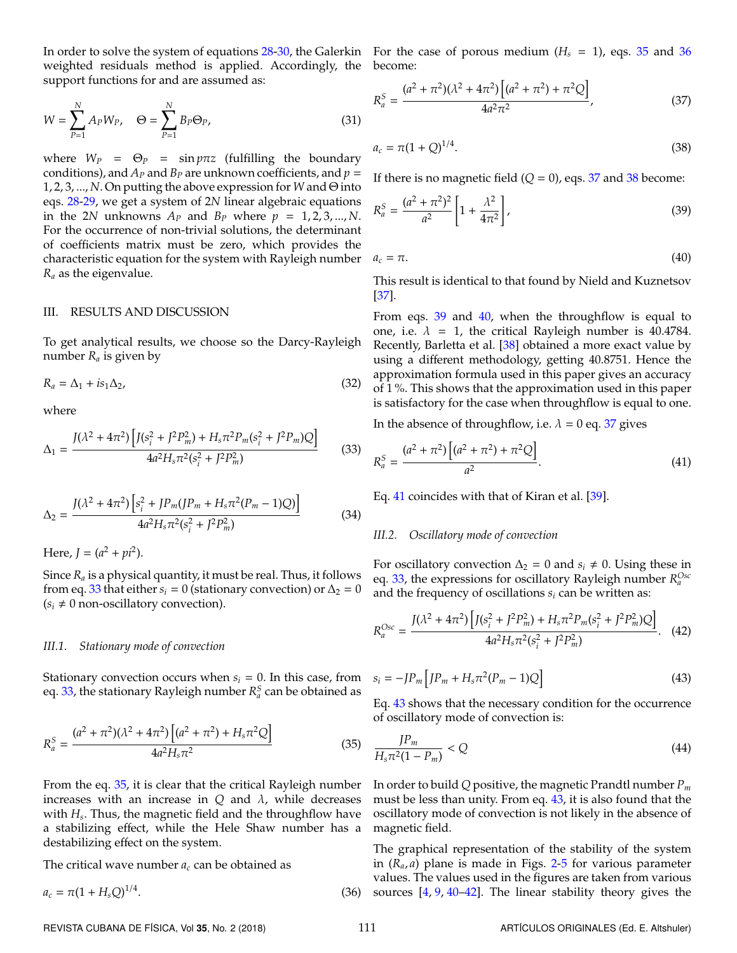In order to solve the system of equations [28-](#page-2-11)[30,](#page-2-12) the Galerkin For the case of porous medium (*H<sup>s</sup>* = 1), eqs. [35](#page-3-1) and [36](#page-3-2) weighted residuals method is applied. Accordingly, the become: support functions for and are assumed as:

$$
W = \sum_{P=1}^{N} A_P W_P, \quad \Theta = \sum_{P=1}^{N} B_P \Theta_P,
$$
\n(31)

where  $W_P = \Theta_P = \sin p \pi z$  (fulfilling the boundary conditions), and  $A_P$  and  $B_P$  are unknown coefficients, and  $p =$ 1, 2, 3, ..., *N*. On putting the above expression for *W* and Θ into eqs. [28](#page-2-11)[-29,](#page-2-13) we get a system of 2*N* linear algebraic equations in the 2*N* unknowns  $A_P$  and  $B_P$  where  $p = 1, 2, 3, ..., N$ . For the occurrence of non-trivial solutions, the determinant of coefficients matrix must be zero, which provides the characteristic equation for the system with Rayleigh number a *R<sup>a</sup>* as the eigenvalue.

### III. RESULTS AND DISCUSSION

To get analytical results, we choose so the Darcy-Rayleigh number *R<sup>a</sup>* is given by

$$
R_a = \Delta_1 + i s_1 \Delta_2, \tag{32}
$$

<span id="page-3-0"></span>where

$$
\Delta_1 = \frac{J(\lambda^2 + 4\pi^2) \left[ J(s_i^2 + J^2 P_m^2) + H_s \pi^2 P_m (s_i^2 + J^2 P_m) Q \right]}{4a^2 H_s \pi^2 (s_i^2 + J^2 P_m^2)}
$$
(33)

$$
\Delta_2 = \frac{J(\lambda^2 + 4\pi^2) \left[ s_i^2 + J P_m (J P_m + H_s \pi^2 (P_m - 1) Q) \right]}{4a^2 H_s \pi^2 (s_i^2 + J^2 P_m^2)}
$$
(34)

Here,  $J = (a^2 + pi^2)$ .

Since  $R_a$  is a physical quantity, it must be real. Thus, it follows from eq. [33](#page-3-0) that either  $s_i = 0$  (stationary convection) or  $\Delta_2 = 0$  $(s_i \neq 0 \text{ non-oscillatory convection}).$ 

## *III.1. Stationary mode of convection*

<span id="page-3-1"></span>Stationary convection occurs when  $s_i = 0$ . In this case, from eq. [33,](#page-3-0) the stationary Rayleigh number  $R_a^S$  can be obtained as

$$
R_a^S = \frac{(a^2 + \pi^2)(\lambda^2 + 4\pi^2) \left[ (a^2 + \pi^2) + H_s \pi^2 Q \right]}{4a^2 H_s \pi^2}
$$
(35)

From the eq. [35,](#page-3-1) it is clear that the critical Rayleigh number increases with an increase in  $Q$  and  $\lambda$ , while decreases with *H<sup>s</sup>* . Thus, the magnetic field and the throughflow have a stabilizing effect, while the Hele Shaw number has a destabilizing effect on the system.

The critical wave number  $a_c$  can be obtained as

$$
a_c = \pi (1 + H_s Q)^{1/4}.
$$
\n(36)

<span id="page-3-3"></span>

$$
R_a^S = \frac{(a^2 + \pi^2)(\lambda^2 + 4\pi^2) \left[ (a^2 + \pi^2) + \pi^2 Q \right]}{4a^2 \pi^2},
$$
\n(37)

<span id="page-3-5"></span><span id="page-3-4"></span>
$$
a_c = \pi (1 + Q)^{1/4}.
$$
 (38)

If there is no magnetic field  $(Q = 0)$ , eqs. [37](#page-3-3) and [38](#page-3-4) become:

<span id="page-3-6"></span>
$$
R_a^S = \frac{(a^2 + \pi^2)^2}{a^2} \left[ 1 + \frac{\lambda^2}{4\pi^2} \right],
$$
\n(39)

$$
a_c = \pi. \tag{40}
$$

This result is identical to that found by Nield and Kuznetsov [\[37\]](#page-5-27).

From eqs.  $39$  and  $40$ , when the throughflow is equal to one, i.e.  $\lambda = 1$ , the critical Rayleigh number is 40.4784. Recently, Barletta et al. [\[38\]](#page-5-28) obtained a more exact value by using a different methodology, getting 40.8751. Hence the approximation formula used in this paper gives an accuracy of 1 %. This shows that the approximation used in this paper is satisfactory for the case when throughflow is equal to one.

In the absence of throughflow, i.e.  $\lambda = 0$  eq. [37](#page-3-3) gives

<span id="page-3-7"></span>
$$
R_a^S = \frac{(a^2 + \pi^2) \left[ (a^2 + \pi^2) + \pi^2 Q \right]}{a^2}.
$$
\n(41)

Eq. [41](#page-3-7) coincides with that of Kiran et al. [\[39\]](#page-6-0).

# *III.2. Oscillatory mode of convection*

For oscillatory convection  $\Delta_2 = 0$  and  $s_i \neq 0$ . Using these in eq. [33,](#page-3-0) the expressions for oscillatory Rayleigh number  $R_a^{Osc}$ and the frequency of oscillations *s<sup>i</sup>* can be written as:

$$
R_a^{Osc} = \frac{J(\lambda^2 + 4\pi^2) \left[ J(s_i^2 + J^2 P_m^2) + H_s \pi^2 P_m (s_i^2 + J^2 P_m^2) Q \right]}{4a^2 H_s \pi^2 (s_i^2 + J^2 P_m^2)}.
$$
 (42)

<span id="page-3-8"></span>
$$
s_i = -JP_m \left[ JP_m + H_s \pi^2 (P_m - 1)Q\right]
$$
\n(43)

Eq. [43](#page-3-8) shows that the necessary condition for the occurrence of oscillatory mode of convection is:

$$
\frac{JP_m}{H_s\pi^2(1-P_m)} < Q\tag{44}
$$

In order to build *Q* positive, the magnetic Prandtl number *P<sup>m</sup>* must be less than unity. From eq. [43,](#page-3-8) it is also found that the oscillatory mode of convection is not likely in the absence of magnetic field.

<span id="page-3-2"></span>The graphical representation of the stability of the system in (*Ra*, *a*) plane is made in Figs. [2](#page-4-0)[-5](#page-4-1) for various parameter values. The values used in the figures are taken from various sources [\[4,](#page-5-2) [9,](#page-5-6) [40](#page-6-1)[–42\]](#page-6-2). The linear stability theory gives the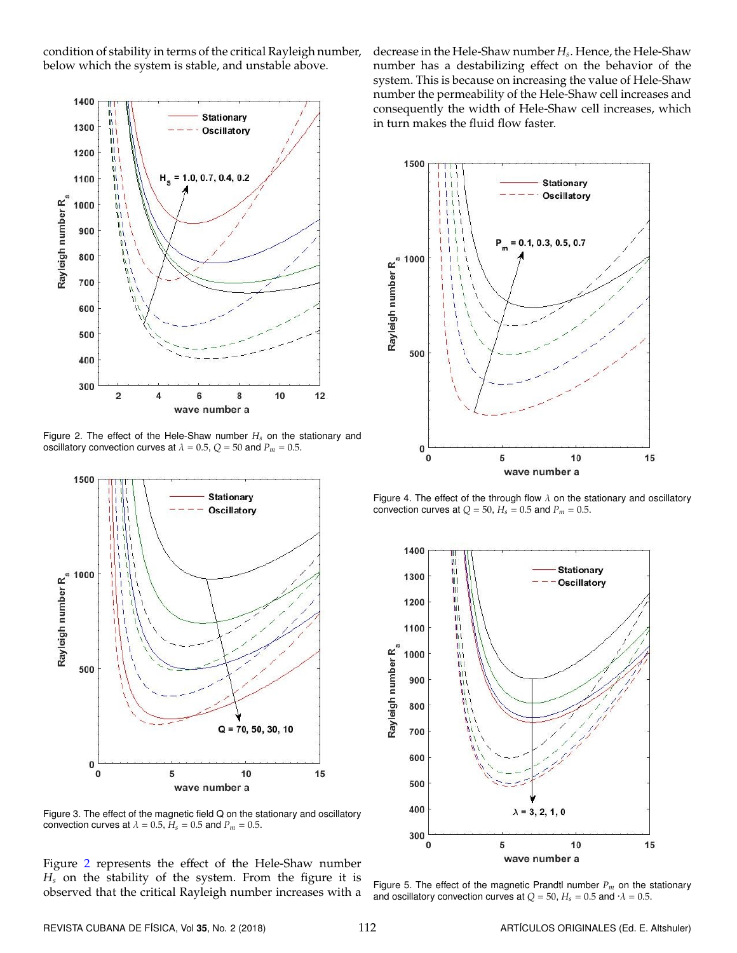condition of stability in terms of the critical Rayleigh number, below which the system is stable, and unstable above.

<span id="page-4-0"></span>

<span id="page-4-2"></span>Figure 2. The effect of the Hele-Shaw number *H<sup>s</sup>* on the stationary and oscillatory convection curves at  $\lambda = 0.5$ ,  $Q = 50$  and  $P_m = 0.5$ .



Figure 3. The effect of the magnetic field Q on the stationary and oscillatory convection curves at  $\lambda = 0.5$ ,  $H_s = 0.5$  and  $P_m = 0.5$ .

Figure [2](#page-4-0) represents the effect of the Hele-Shaw number *H<sup>s</sup>* on the stability of the system. From the figure it is observed that the critical Rayleigh number increases with a

decrease in the Hele-Shaw number *H<sup>s</sup>* . Hence, the Hele-Shaw number has a destabilizing effect on the behavior of the system. This is because on increasing the value of Hele-Shaw number the permeability of the Hele-Shaw cell increases and consequently the width of Hele-Shaw cell increases, which in turn makes the fluid flow faster.

<span id="page-4-3"></span>

Figure 4. The effect of the through flow  $\lambda$  on the stationary and oscillatory convection curves at  $Q = 50$ ,  $H_s = 0.5$  and  $P_m = 0.5$ .

<span id="page-4-1"></span>

Figure 5. The effect of the magnetic Prandtl number *P<sup>m</sup>* on the stationary and oscillatory convection curves at  $Q = 50$ ,  $H_s = 0.5$  and  $\cdot \lambda = 0.5$ .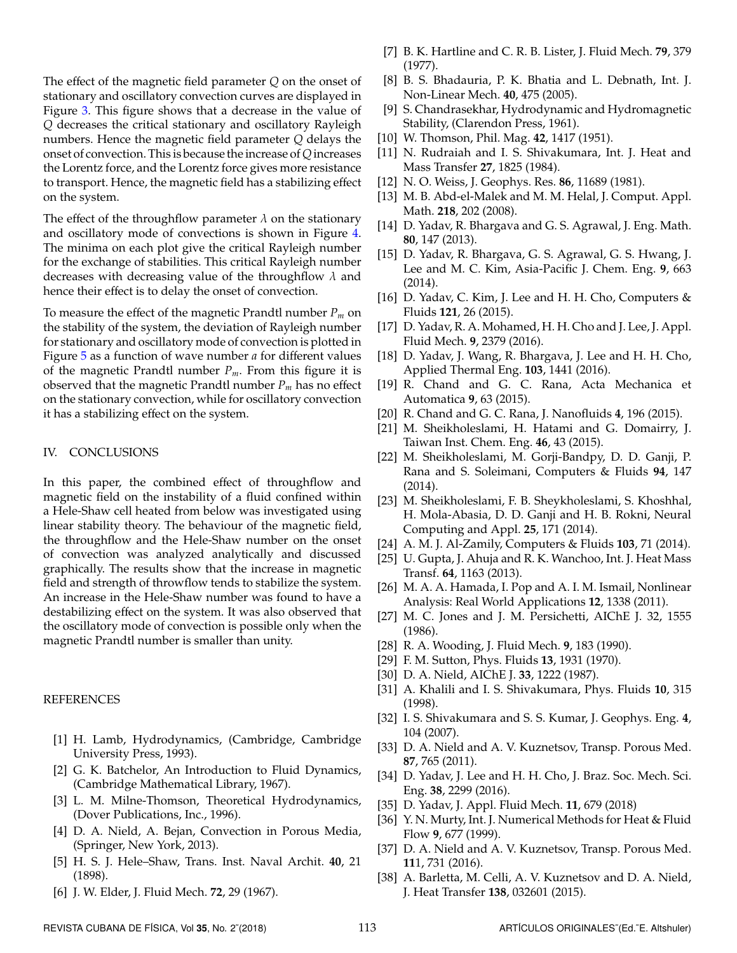The effect of the magnetic field parameter *Q* on the onset of stationary and oscillatory convection curves are displayed in Figure [3.](#page-4-2) This figure shows that a decrease in the value of *Q* decreases the critical stationary and oscillatory Rayleigh numbers. Hence the magnetic field parameter *Q* delays the onset of convection. This is because the increase of*Q*increases the Lorentz force, and the Lorentz force gives more resistance to transport. Hence, the magnetic field has a stabilizing effect on the system.

The effect of the throughflow parameter  $\lambda$  on the stationary and oscillatory mode of convections is shown in Figure [4.](#page-4-3) The minima on each plot give the critical Rayleigh number for the exchange of stabilities. This critical Rayleigh number decreases with decreasing value of the throughflow  $\lambda$  and hence their effect is to delay the onset of convection.

To measure the effect of the magnetic Prandtl number *P<sup>m</sup>* on the stability of the system, the deviation of Rayleigh number for stationary and oscillatory mode of convection is plotted in Figure [5](#page-4-1) as a function of wave number *a* for different values of the magnetic Prandtl number *Pm*. From this figure it is observed that the magnetic Prandtl number *P<sup>m</sup>* has no effect on the stationary convection, while for oscillatory convection it has a stabilizing effect on the system.

# IV. CONCLUSIONS

In this paper, the combined effect of throughflow and magnetic field on the instability of a fluid confined within a Hele-Shaw cell heated from below was investigated using linear stability theory. The behaviour of the magnetic field, the throughflow and the Hele-Shaw number on the onset of convection was analyzed analytically and discussed graphically. The results show that the increase in magnetic field and strength of throwflow tends to stabilize the system. An increase in the Hele-Shaw number was found to have a destabilizing effect on the system. It was also observed that the oscillatory mode of convection is possible only when the magnetic Prandtl number is smaller than unity.

# REFERENCES

- <span id="page-5-0"></span>[1] H. Lamb, Hydrodynamics, (Cambridge, Cambridge University Press, 1993).
- [2] G. K. Batchelor, An Introduction to Fluid Dynamics, (Cambridge Mathematical Library, 1967).
- <span id="page-5-1"></span>[3] L. M. Milne-Thomson, Theoretical Hydrodynamics, (Dover Publications, Inc., 1996).
- <span id="page-5-2"></span>[4] D. A. Nield, A. Bejan, Convection in Porous Media, (Springer, New York, 2013).
- <span id="page-5-3"></span>[5] H. S. J. Hele–Shaw, Trans. Inst. Naval Archit. **40**, 21 (1898).
- <span id="page-5-4"></span>[6] J. W. Elder, J. Fluid Mech. **72**, 29 (1967).
- [7] B. K. Hartline and C. R. B. Lister, J. Fluid Mech. **79**, 379 (1977).
- <span id="page-5-5"></span>[8] B. S. Bhadauria, P. K. Bhatia and L. Debnath, Int. J. Non-Linear Mech. **40**, 475 (2005).
- <span id="page-5-6"></span>[9] S. Chandrasekhar, Hydrodynamic and Hydromagnetic Stability, (Clarendon Press, 1961).
- <span id="page-5-7"></span>[10] W. Thomson, Phil. Mag. **42**, 1417 (1951).
- <span id="page-5-8"></span>[11] N. Rudraiah and I. S. Shivakumara, Int. J. Heat and Mass Transfer **27**, 1825 (1984).
- <span id="page-5-9"></span>[12] N. O. Weiss, J. Geophys. Res. **86**, 11689 (1981).
- <span id="page-5-10"></span>[13] M. B. Abd-el-Malek and M. M. Helal, J. Comput. Appl. Math. **218**, 202 (2008).
- <span id="page-5-11"></span>[14] D. Yadav, R. Bhargava and G. S. Agrawal, J. Eng. Math. **80**, 147 (2013).
- [15] D. Yadav, R. Bhargava, G. S. Agrawal, G. S. Hwang, J. Lee and M. C. Kim, Asia-Pacific J. Chem. Eng. **9**, 663 (2014).
- [16] D. Yadav, C. Kim, J. Lee and H. H. Cho, Computers & Fluids **121**, 26 (2015).
- [17] D. Yadav, R. A. Mohamed, H. H. Cho and J. Lee, J. Appl. Fluid Mech. **9**, 2379 (2016).
- <span id="page-5-12"></span>[18] D. Yadav, J. Wang, R. Bhargava, J. Lee and H. H. Cho, Applied Thermal Eng. **103**, 1441 (2016).
- <span id="page-5-13"></span>[19] R. Chand and G. C. Rana, Acta Mechanica et Automatica **9**, 63 (2015).
- <span id="page-5-14"></span>[20] R. Chand and G. C. Rana, J. Nanofluids **4**, 196 (2015).
- <span id="page-5-15"></span>[21] M. Sheikholeslami, H. Hatami and G. Domairry, J. Taiwan Inst. Chem. Eng. **46**, 43 (2015).
- [22] M. Sheikholeslami, M. Gorji-Bandpy, D. D. Ganji, P. Rana and S. Soleimani, Computers & Fluids **94**, 147 (2014).
- <span id="page-5-16"></span>[23] M. Sheikholeslami, F. B. Sheykholeslami, S. Khoshhal, H. Mola-Abasia, D. D. Ganji and H. B. Rokni, Neural Computing and Appl. **25**, 171 (2014).
- <span id="page-5-17"></span>[24] A. M. J. Al-Zamily, Computers & Fluids **103**, 71 (2014).
- <span id="page-5-18"></span>[25] U. Gupta, J. Ahuja and R. K. Wanchoo, Int. J. Heat Mass Transf. **64**, 1163 (2013).
- <span id="page-5-19"></span>[26] M. A. A. Hamada, I. Pop and A. I. M. Ismail, Nonlinear Analysis: Real World Applications **12**, 1338 (2011).
- <span id="page-5-20"></span>[27] M. C. Jones and J. M. Persichetti, AIChE J. 32, 1555 (1986).
- <span id="page-5-21"></span>[28] R. A. Wooding, J. Fluid Mech. **9**, 183 (1990).
- <span id="page-5-22"></span>[29] F. M. Sutton, Phys. Fluids **13**, 1931 (1970).
- <span id="page-5-23"></span>[30] D. A. Nield, AIChE J. **33**, 1222 (1987).
- <span id="page-5-24"></span>[31] A. Khalili and I. S. Shivakumara, Phys. Fluids **10**, 315 (1998).
- <span id="page-5-25"></span>[32] I. S. Shivakumara and S. S. Kumar, J. Geophys. Eng. **4**, 104 (2007).
- [33] D. A. Nield and A. V. Kuznetsov, Transp. Porous Med. **87**, 765 (2011).
- [34] D. Yadav, J. Lee and H. H. Cho, J. Braz. Soc. Mech. Sci. Eng. **38**, 2299 (2016).
- [35] D. Yadav, J. Appl. Fluid Mech. **11**, 679 (2018)
- <span id="page-5-26"></span>[36] Y. N. Murty, Int. J. Numerical Methods for Heat & Fluid Flow **9**, 677 (1999).
- <span id="page-5-27"></span>[37] D. A. Nield and A. V. Kuznetsov, Transp. Porous Med. **11**1, 731 (2016).
- <span id="page-5-28"></span>[38] A. Barletta, M. Celli, A. V. Kuznetsov and D. A. Nield, J. Heat Transfer **138**, 032601 (2015).